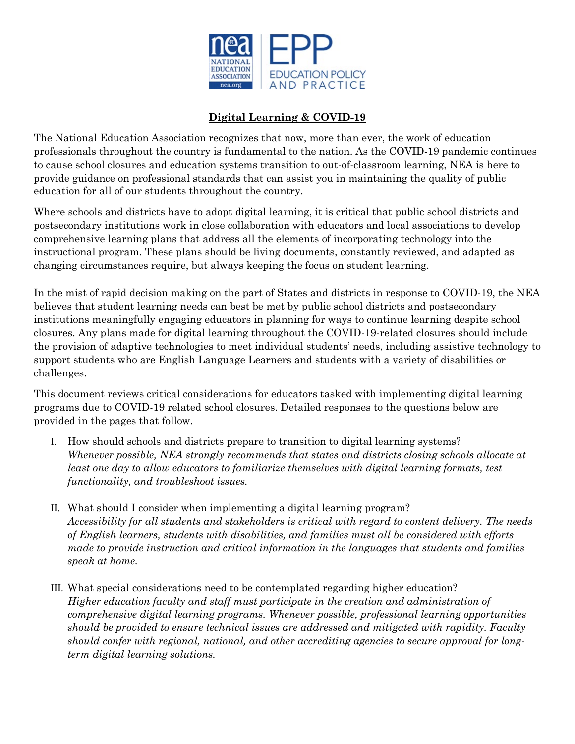

## **Digital Learning & COVID-19**

The National Education Association recognizes that now, more than ever, the work of education professionals throughout the country is fundamental to the nation. As the COVID-19 pandemic continues to cause school closures and education systems transition to out-of-classroom learning, NEA is here to provide guidance on professional standards that can assist you in maintaining the quality of public education for all of our students throughout the country.

Where schools and districts have to adopt digital learning, it is critical that public school districts and postsecondary institutions work in close collaboration with educators and local associations to develop comprehensive learning plans that address all the elements of incorporating technology into the instructional program. These plans should be living documents, constantly reviewed, and adapted as changing circumstances require, but always keeping the focus on student learning.

In the mist of rapid decision making on the part of States and districts in response to COVID-19, the NEA believes that student learning needs can best be met by public school districts and postsecondary institutions meaningfully engaging educators in planning for ways to continue learning despite school closures. Any plans made for digital learning throughout the COVID-19-related closures should include the provision of adaptive technologies to meet individual students' needs, including assistive technology to support students who are English Language Learners and students with a variety of disabilities or challenges.

This document reviews critical considerations for educators tasked with implementing digital learning programs due to COVID-19 related school closures. Detailed responses to the questions below are provided in the pages that follow.

- I. How should schools and districts prepare to transition to digital learning systems? *Whenever possible, NEA strongly recommends that states and districts closing schools allocate at least one day to allow educators to familiarize themselves with digital learning formats, test functionality, and troubleshoot issues.*
- II. What should I consider when implementing a digital learning program? *Accessibility for all students and stakeholders is critical with regard to content delivery. The needs of English learners, students with disabilities, and families must all be considered with efforts made to provide instruction and critical information in the languages that students and families speak at home.*
- III. What special considerations need to be contemplated regarding higher education? *Higher education faculty and staff must participate in the creation and administration of comprehensive digital learning programs. Whenever possible, professional learning opportunities should be provided to ensure technical issues are addressed and mitigated with rapidity. Faculty should confer with regional, national, and other accrediting agencies to secure approval for longterm digital learning solutions.*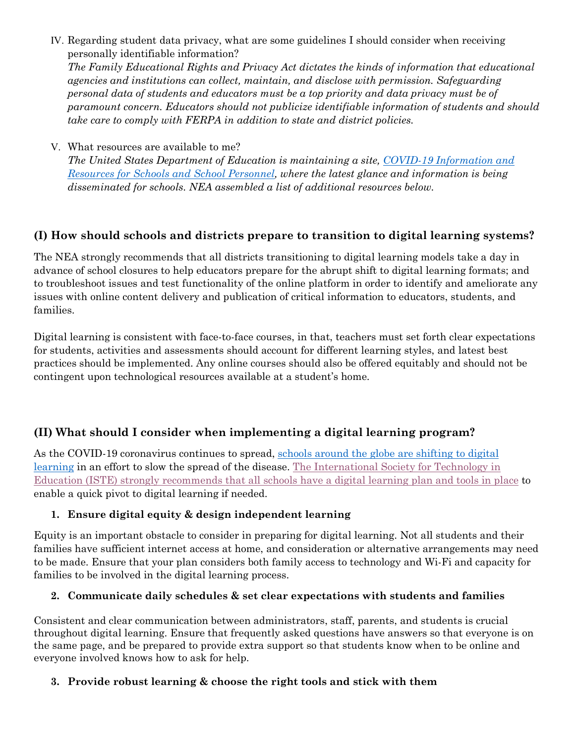IV. Regarding student data privacy, what are some guidelines I should consider when receiving personally identifiable information?

*The Family Educational Rights and Privacy Act dictates the kinds of information that educational agencies and institutions can collect, maintain, and disclose with permission. Safeguarding personal data of students and educators must be a top priority and data privacy must be of paramount concern. Educators should not publicize identifiable information of students and should take care to comply with FERPA in addition to state and district policies.*

V. What resources are available to me?

*The United States Department of Education is maintaining a site, [COVID-19 Information and](https://www.ed.gov/coronavirus)  [Resources for Schools and School Personnel,](https://www.ed.gov/coronavirus) where the latest glance and information is being disseminated for schools. NEA assembled a list of additional resources below.*

# **(I) How should schools and districts prepare to transition to digital learning systems?**

The NEA strongly recommends that all districts transitioning to digital learning models take a day in advance of school closures to help educators prepare for the abrupt shift to digital learning formats; and to troubleshoot issues and test functionality of the online platform in order to identify and ameliorate any issues with online content delivery and publication of critical information to educators, students, and families.

Digital learning is consistent with face-to-face courses, in that, teachers must set forth clear expectations for students, activities and assessments should account for different learning styles, and latest best practices should be implemented. Any online courses should also be offered equitably and should not be contingent upon technological resources available at a student's home.

# **(II) What should I consider when implementing a digital learning program?**

As the COVID-19 coronavirus continues to spread, [schools around the globe are shifting to digital](https://www.iste.org/explore/Empowered-Learner/Online-learning-helps-schools-overcome-distance%2C-weather%2C-even-war) [learning](https://www.iste.org/explore/Empowered-Learner/Online-learning-helps-schools-overcome-distance%2C-weather%2C-even-war) in an effort to slow the spread of the disease. [The International Society for Technology in](https://www.iste.org/explore/10-strategies-online-learning-during-coronavirus-outbreak)  Education (ISTE) [strongly recommends that all schools have a digital learning plan and tools in place](https://www.iste.org/explore/10-strategies-online-learning-during-coronavirus-outbreak) to enable a quick pivot to digital learning if needed.

## **1. Ensure digital equity & design independent learning**

Equity is an important obstacle to consider in preparing for digital learning. Not all students and their families have sufficient internet access at home, and consideration or alternative arrangements may need to be made. Ensure that your plan considers both family access to technology and Wi-Fi and capacity for families to be involved in the digital learning process.

## **2. Communicate daily schedules & set clear expectations with students and families**

Consistent and clear communication between administrators, staff, parents, and students is crucial throughout digital learning. Ensure that frequently asked questions have answers so that everyone is on the same page, and be prepared to provide extra support so that students know when to be online and everyone involved knows how to ask for help.

## **3. Provide robust learning & choose the right tools and stick with them**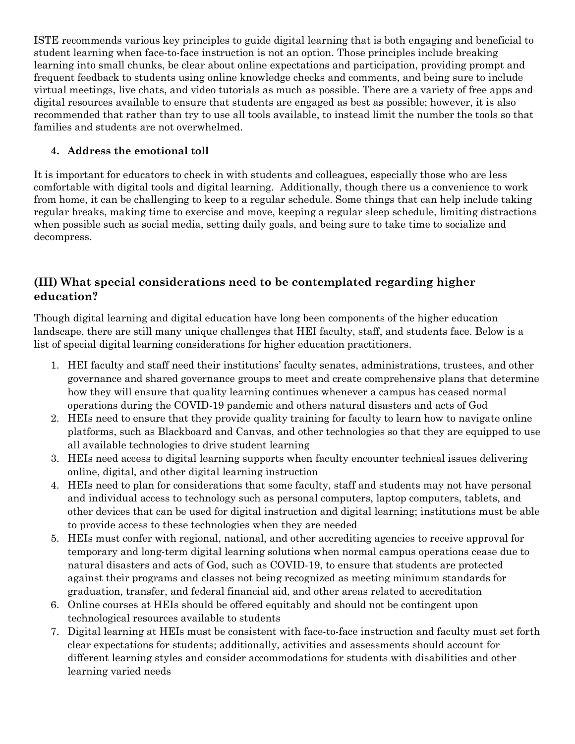ISTE recommends various key principles to guide digital learning that is both engaging and beneficial to student learning when face-to-face instruction is not an option. Those principles include breaking learning into small chunks, be clear about online expectations and participation, providing prompt and frequent feedback to students using online knowledge checks and comments, and being sure to include virtual meetings, live chats, and video tutorials as much as possible. There are a variety of free apps and digital resources available to ensure that students are engaged as best as possible; however, it is also recommended that rather than try to use all tools available, to instead limit the number the tools so that families and students are not overwhelmed.

## **4. Address the emotional toll**

It is important for educators to check in with students and colleagues, especially those who are less comfortable with digital tools and digital learning. Additionally, though there us a convenience to work from home, it can be challenging to keep to a regular schedule. Some things that can help include taking regular breaks, making time to exercise and move, keeping a regular sleep schedule, limiting distractions when possible such as social media, setting daily goals, and being sure to take time to socialize and decompress.

# **(III) What special considerations need to be contemplated regarding higher education?**

Though digital learning and digital education have long been components of the higher education landscape, there are still many unique challenges that HEI faculty, staff, and students face. Below is a list of special digital learning considerations for higher education practitioners.

- 1. HEI faculty and staff need their institutions' faculty senates, administrations, trustees, and other governance and shared governance groups to meet and create comprehensive plans that determine how they will ensure that quality learning continues whenever a campus has ceased normal operations during the COVID-19 pandemic and others natural disasters and acts of God
- 2. HEIs need to ensure that they provide quality training for faculty to learn how to navigate online platforms, such as Blackboard and Canvas, and other technologies so that they are equipped to use all available technologies to drive student learning
- 3. HEIs need access to digital learning supports when faculty encounter technical issues delivering online, digital, and other digital learning instruction
- 4. HEIs need to plan for considerations that some faculty, staff and students may not have personal and individual access to technology such as personal computers, laptop computers, tablets, and other devices that can be used for digital instruction and digital learning; institutions must be able to provide access to these technologies when they are needed
- 5. HEIs must confer with regional, national, and other accrediting agencies to receive approval for temporary and long-term digital learning solutions when normal campus operations cease due to natural disasters and acts of God, such as COVID-19, to ensure that students are protected against their programs and classes not being recognized as meeting minimum standards for graduation, transfer, and federal financial aid, and other areas related to accreditation
- 6. Online courses at HEIs should be offered equitably and should not be contingent upon technological resources available to students
- 7. Digital learning at HEIs must be consistent with face-to-face instruction and faculty must set forth clear expectations for students; additionally, activities and assessments should account for different learning styles and consider accommodations for students with disabilities and other learning varied needs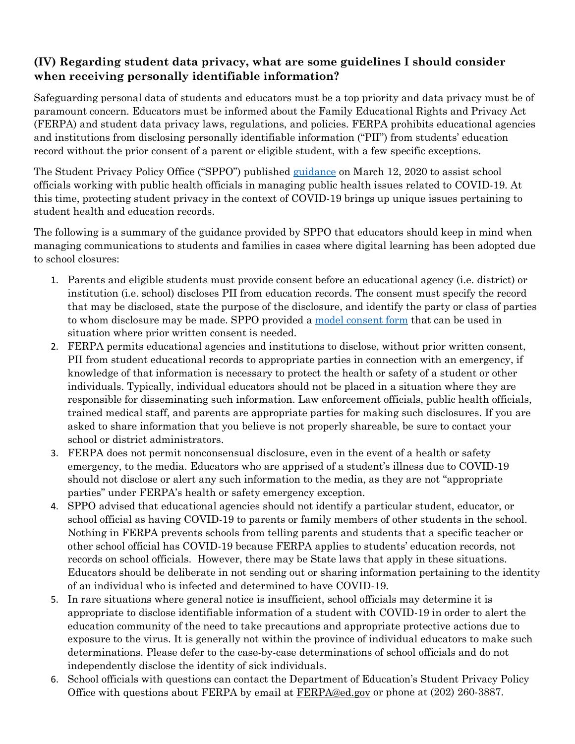# **(IV) Regarding student data privacy, what are some guidelines I should consider when receiving personally identifiable information?**

Safeguarding personal data of students and educators must be a top priority and data privacy must be of paramount concern. Educators must be informed about the Family Educational Rights and Privacy Act (FERPA) and student data privacy laws, regulations, and policies. FERPA prohibits educational agencies and institutions from disclosing personally identifiable information ("PII") from students' education record without the prior consent of a parent or eligible student, with a few specific exceptions.

The Student Privacy Policy Office ("SPPO") published [guidance](https://studentprivacy.ed.gov/sites/default/files/resource_document/file/FERPA%20and%20Coronavirus%20Frequently%20Asked%20Questions.pdfhttps:/studentprivacy.ed.gov/sites/default/files/resource_document/file/FERPA%20and%20Coronavirus%20Frequently%20Asked%20Questions.pdf) on March 12, 2020 to assist school officials working with public health officials in managing public health issues related to COVID-19. At this time, protecting student privacy in the context of COVID-19 brings up unique issues pertaining to student health and education records.

The following is a summary of the guidance provided by SPPO that educators should keep in mind when managing communications to students and families in cases where digital learning has been adopted due to school closures:

- 1. Parents and eligible students must provide consent before an educational agency (i.e. district) or institution (i.e. school) discloses PII from education records. The consent must specify the record that may be disclosed, state the purpose of the disclosure, and identify the party or class of parties to whom disclosure may be made. SPPO provided a [model consent form](https://studentprivacy.ed.gov/sites/default/files/resource_document/file/FERPA%20and%20Coronavirus%20Frequently%20Asked%20Questions_0.pdf?utm_content=&utm_medium=email&utm_name=&utm_source=govdelivery&utm_term=) that can be used in situation where prior written consent is needed.
- 2. FERPA permits educational agencies and institutions to disclose, without prior written consent, PII from student educational records to appropriate parties in connection with an emergency, if knowledge of that information is necessary to protect the health or safety of a student or other individuals. Typically, individual educators should not be placed in a situation where they are responsible for disseminating such information. Law enforcement officials, public health officials, trained medical staff, and parents are appropriate parties for making such disclosures. If you are asked to share information that you believe is not properly shareable, be sure to contact your school or district administrators.
- 3. FERPA does not permit nonconsensual disclosure, even in the event of a health or safety emergency, to the media. Educators who are apprised of a student's illness due to COVID-19 should not disclose or alert any such information to the media, as they are not "appropriate parties" under FERPA's health or safety emergency exception.
- 4. SPPO advised that educational agencies should not identify a particular student, educator, or school official as having COVID-19 to parents or family members of other students in the school. Nothing in FERPA prevents schools from telling parents and students that a specific teacher or other school official has COVID-19 because FERPA applies to students' education records, not records on school officials. However, there may be State laws that apply in these situations. Educators should be deliberate in not sending out or sharing information pertaining to the identity of an individual who is infected and determined to have COVID-19.
- 5. In rare situations where general notice is insufficient, school officials may determine it is appropriate to disclose identifiable information of a student with COVID-19 in order to alert the education community of the need to take precautions and appropriate protective actions due to exposure to the virus. It is generally not within the province of individual educators to make such determinations. Please defer to the case-by-case determinations of school officials and do not independently disclose the identity of sick individuals.
- 6. School officials with questions can contact the Department of Education's Student Privacy Policy Office with questions about FERPA by email at  $FERPA@ed.gov$  or phone at (202) 260-3887.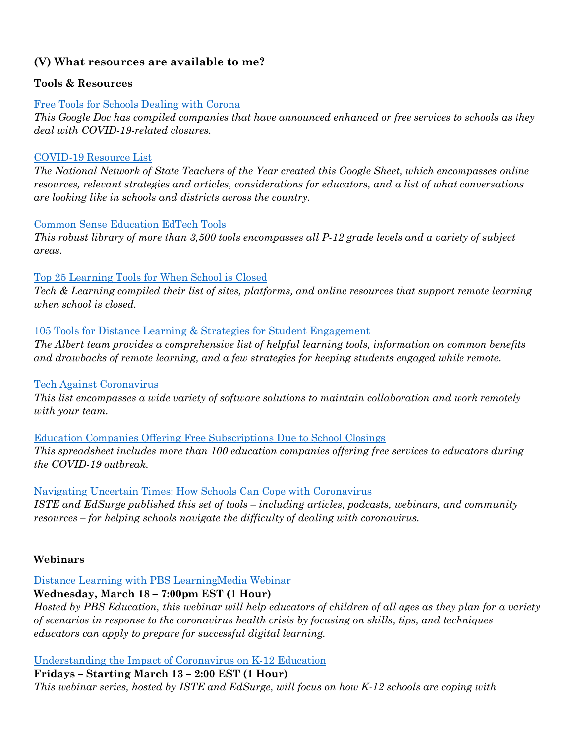# **(V) What resources are available to me?**

## **Tools & Resources**

### [Free Tools for Schools Dealing with Corona](https://docs.google.com/document/d/1BQJEQczyMOkG_80RBT2ouROB3ISUe93Yc2jloWvnJXM/edit)

*This Google Doc has compiled companies that have announced enhanced or free services to schools as they deal with COVID-19-related closures.*

#### [COVID-19 Resource List](https://docs.google.com/spreadsheets/d/1oq8r4jbwvZ_Qq0QljgvfzP4l67ga0C87gw3KktcRaNY/edit#gid=1452778611)

*The National Network of State Teachers of the Year created this Google Sheet, which encompasses online resources, relevant strategies and articles, considerations for educators, and a list of what conversations are looking like in schools and districts across the country.*

#### [Common Sense Education EdTech Tools](https://www.commonsense.org/education/search?contentType=reviews)

*This robust library of more than 3,500 tools encompasses all P-12 grade levels and a variety of subject areas.*

#### [Top 25 Learning Tools for When School is Closed](https://www.techlearning.com/news/top-25-learning-tools-for-when-school-is-closed)

*Tech & Learning compiled their list of sites, platforms, and online resources that support remote learning when school is closed.*

#### [105 Tools for Distance Learning & Strategies for Student Engagement](https://www.albert.io/blog/tools-for-distance-learning/)

*The Albert team provides a comprehensive list of helpful learning tools, information on common benefits and drawbacks of remote learning, and a few strategies for keeping students engaged while remote.* 

## [Tech Against Coronavirus](https://techagainstcoronavirus.com/edu/)

*This list encompasses a wide variety of software solutions to maintain collaboration and work remotely with your team.*

[Education Companies Offering Free Subscriptions Due to School Closings](https://docs.google.com/spreadsheets/d/1NUKLZN7hGSu1Hzm70kfzBKs-lsSELaEMggS60Bi2O2I/htmlview?usp=sharing&fbclid=IwAR1OkAUGDsUUuXT7UZCmLG5jMCSoN-VCod14s1pMkUSJhwjvSW3nx_yeDX0&sle=true&pru=AAABcPgYxUM*6j7VZTAY1F1w10uPUKw_sA) *This spreadsheet includes more than 100 education companies offering free services to educators during the COVID-19 outbreak.*

## [Navigating Uncertain Times: How Schools Can Cope with Coronavirus](https://www.edsurge.com/research/guides/navigating-uncertain-times-how-schools-can-cope-with-coronavirus)

*ISTE and EdSurge published this set of tools – including articles, podcasts, webinars, and community resources – for helping schools navigate the difficulty of dealing with coronavirus.*

## **Webinars**

## [Distance Learning with PBS LearningMedia Webinar](https://www.eventbrite.com/e/distance-learning-with-pbs-learningmedia-tickets-99418944740?fbclid=IwAR3JjiUUQ3dBCxZ_ACIaf1rcafv1RGarfz7Ekv-ZmfGKI1TRkrLMPwbRd6U)

## **Wednesday, March 18 – 7:00pm EST (1 Hour)**

*Hosted by PBS Education, this webinar will help educators of children of all ages as they plan for a variety of scenarios in response to the coronavirus health crisis by focusing on skills, tips, and techniques educators can apply to prepare for successful digital learning.*

#### [Understanding the Impact of Coronavirus on K-12 Education](https://events.edsurge.com/webinars/understanding-the-impact-of-coronavirus-on-k-12-education/?_ga=2.78622992.581074732.1584107827-1745519950.1584107827)

# **Fridays – Starting March 13 – 2:00 EST (1 Hour)**

*This webinar series, hosted by ISTE and EdSurge, will focus on how K-12 schools are coping with*